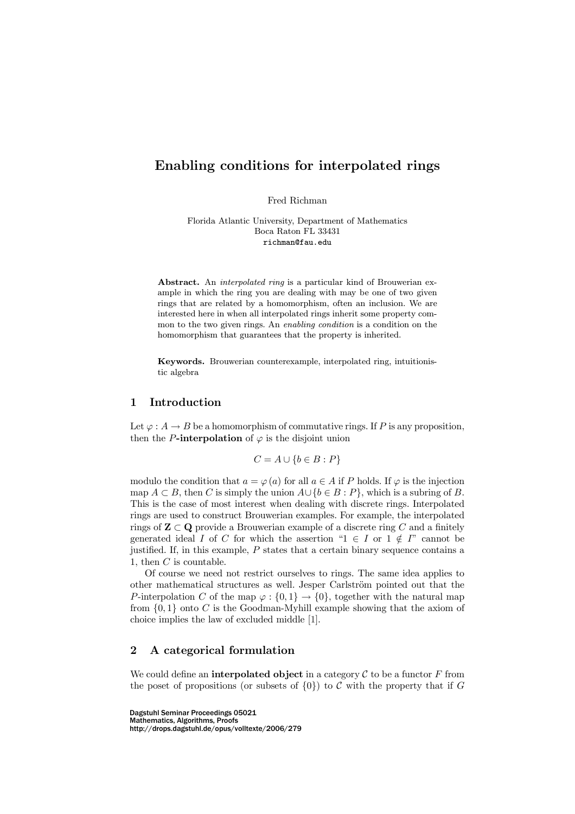# Enabling conditions for interpolated rings

Fred Richman

Florida Atlantic University, Department of Mathematics Boca Raton FL 33431 richman@fau.edu

Abstract. An *interpolated ring* is a particular kind of Brouwerian example in which the ring you are dealing with may be one of two given rings that are related by a homomorphism, often an inclusion. We are interested here in when all interpolated rings inherit some property common to the two given rings. An *enabling condition* is a condition on the homomorphism that guarantees that the property is inherited.

Keywords. Brouwerian counterexample, interpolated ring, intuitionistic algebra

#### $\mathbf{1}$ **Introduction**

Let  $\varphi: A \to B$  be a homomorphism of commutative rings. If P is any proposition, then the P-interpolation of  $\varphi$  is the disjoint union

$$
C = A \cup \{b \in B : P\}
$$

modulo the condition that  $a = \varphi(a)$  for all  $a \in A$  if P holds. If  $\varphi$  is the injection map  $A \subset B$ , then C is simply the union  $A \cup \{b \in B : P\}$ , which is a subring of B. This is the case of most interest when dealing with discrete rings. Interpolated rings are used to construct Brouwerian examples. For example, the interpolated rings of  $\mathbf{Z} \subset \mathbf{Q}$  provide a Brouwerian example of a discrete ring C and a finitely generated ideal I of C for which the assertion " $1 \in I$  or  $1 \notin I$ " cannot be justified. If, in this example,  $P$  states that a certain binary sequence contains a 1, then  $C$  is countable.

Of course we need not restrict ourselves to rings. The same idea applies to other mathematical structures as well. Jesper Carlstrom pointed out that the P-interpolation C of the map  $\varphi : \{0,1\} \to \{0\}$ , together with the natural map from  $\{0,1\}$  onto C is the Goodman-Myhill example showing that the axiom of choice implies the law of excluded middle [1].

### $\overline{2}$ A categorical formulation

We could define an **interpolated object** in a category  $\mathcal C$  to be a functor  $F$  from the poset of propositions (or subsets of  $\{0\}$ ) to C with the property that if G

Dagstuhl Seminar Proceedings 05021 Mathematics, Algorithms, Proofs http://drops.dagstuhl.de/opus/volltexte/2006/279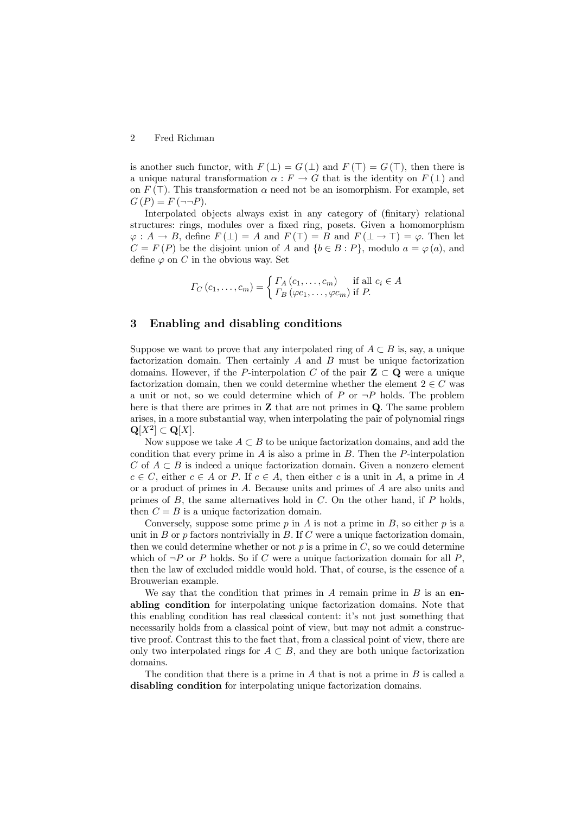#### $\overline{2}$ Fred Richman

is another such functor, with  $F(\perp) = G(\perp)$  and  $F(\top) = G(\top)$ , then there is a unique natural transformation  $\alpha : F \to G$  that is the identity on  $F(\perp)$  and on  $F(\top)$ . This transformation  $\alpha$  need not be an isomorphism. For example, set  $G(P) = F(\neg \neg P).$ 

Interpolated objects always exist in any category of (finitary) relational structures: rings, modules over a fixed ring, posets. Given a homomorphism  $\varphi: A \to B$ , define  $F(\perp) = A$  and  $F(\top) = B$  and  $F(\perp \to \top) = \varphi$ . Then let  $C = F(P)$  be the disjoint union of A and  $\{b \in B : P\}$ , modulo  $a = \varphi(a)$ , and define  $\varphi$  on C in the obvious way. Set

$$
\Gamma_C(c_1,\ldots,c_m) = \begin{cases} \Gamma_A(c_1,\ldots,c_m) & \text{if all } c_i \in A \\ \Gamma_B(\varphi c_1,\ldots,\varphi c_m) & \text{if } P. \end{cases}
$$

#### 3 Enabling and disabling conditions

Suppose we want to prove that any interpolated ring of  $A \subset B$  is, say, a unique factorization domain. Then certainly  $A$  and  $B$  must be unique factorization domains. However, if the P-interpolation C of the pair  $\mathbb{Z} \subset \mathbb{Q}$  were a unique factorization domain, then we could determine whether the element  $2 \in C$  was a unit or not, so we could determine which of P or  $\neg P$  holds. The problem here is that there are primes in  $Z$  that are not primes in  $Q$ . The same problem arises, in a more substantial way, when interpolating the pair of polynomial rings  ${\bf Q}[X^2] \subset {\bf Q}[X].$ 

Now suppose we take  $A \subset B$  to be unique factorization domains, and add the condition that every prime in  $A$  is also a prime in  $B$ . Then the P-interpolation C of  $A \subset B$  is indeed a unique factorization domain. Given a nonzero element  $c \in C$ , either  $c \in A$  or P. If  $c \in A$ , then either c is a unit in A, a prime in A or a product of primes in  $A$ . Because units and primes of  $A$  are also units and primes of  $B$ , the same alternatives hold in  $C$ . On the other hand, if  $P$  holds, then  $C = B$  is a unique factorization domain.

Conversely, suppose some prime  $p$  in  $A$  is not a prime in  $B$ , so either  $p$  is a unit in  $B$  or  $p$  factors nontrivially in  $B$ . If  $C$  were a unique factorization domain, then we could determine whether or not  $p$  is a prime in  $C$ , so we could determine which of  $\neg P$  or P holds. So if C were a unique factorization domain for all P, then the law of excluded middle would hold. That, of course, is the essence of a Brouwerian example.

We say that the condition that primes in A remain prime in  $B$  is an enabling condition for interpolating unique factorization domains. Note that this enabling condition has real classical content: it's not just something that necessarily holds from a classical point of view, but may not admit a constructive proof. Contrast this to the fact that, from a classical point of view, there are only two interpolated rings for  $A \subset B$ , and they are both unique factorization domains.

The condition that there is a prime in A that is not a prime in B is called a disabling condition for interpolating unique factorization domains.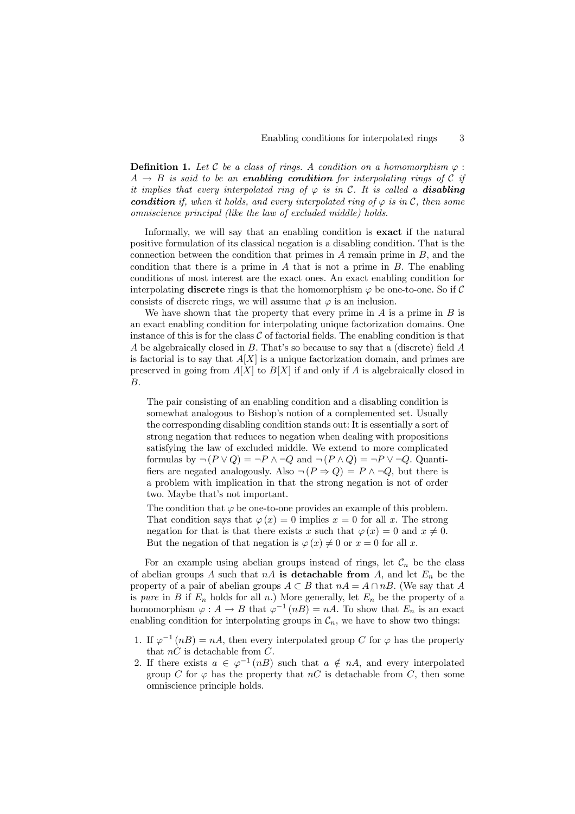3

**Definition 1.** Let  $C$  be a class of rings. A condition on a homomorphism  $\varphi$ :  $A \rightarrow B$  is said to be an **enabling condition** for interpolating rings of C if it implies that every interpolated ring of  $\varphi$  is in C. It is called a **disabling condition** if, when it holds, and every interpolated ring of  $\varphi$  is in C, then some omniscience principal (like the law of excluded middle) holds.

Informally, we will say that an enabling condition is **exact** if the natural positive formulation of its classical negation is a disabling condition. That is the connection between the condition that primes in  $A$  remain prime in  $B$ , and the condition that there is a prime in  $A$  that is not a prime in  $B$ . The enabling conditions of most interest are the exact ones. An exact enabling condition for interpolating **discrete** rings is that the homomorphism  $\varphi$  be one-to-one. So if C consists of discrete rings, we will assume that  $\varphi$  is an inclusion.

We have shown that the property that every prime in  $A$  is a prime in  $B$  is an exact enabling condition for interpolating unique factorization domains. One instance of this is for the class  $C$  of factorial fields. The enabling condition is that A be algebraically closed in B. That's so because to say that a (discrete) field A is factorial is to say that  $A[X]$  is a unique factorization domain, and primes are preserved in going from  $A[X]$  to  $B[X]$  if and only if A is algebraically closed in В.

The pair consisting of an enabling condition and a disabling condition is somewhat analogous to Bishop's notion of a complemented set. Usually the corresponding disabling condition stands out: It is essentially a sort of strong negation that reduces to negation when dealing with propositions satisfying the law of excluded middle. We extend to more complicated formulas by  $\neg (P \lor Q) = \neg P \land \neg Q$  and  $\neg (P \land Q) = \neg P \lor \neg Q$ . Quantifiers are negated analogously. Also  $\neg (P \Rightarrow Q) = P \land \neg Q$ , but there is a problem with implication in that the strong negation is not of order two. Maybe that's not important.

The condition that  $\varphi$  be one-to-one provides an example of this problem. That condition says that  $\varphi(x) = 0$  implies  $x = 0$  for all x. The strong negation for that is that there exists x such that  $\varphi(x) = 0$  and  $x \neq 0$ . But the negation of that negation is  $\varphi(x) \neq 0$  or  $x = 0$  for all x.

For an example using abelian groups instead of rings, let  $\mathcal{C}_n$  be the class of abelian groups A such that  $nA$  is detachable from A, and let  $E_n$  be the property of a pair of abelian groups  $A \subset B$  that  $nA = A \cap nB$ . (We say that A is *pure* in B if  $E_n$  holds for all n.) More generally, let  $E_n$  be the property of a homomorphism  $\varphi : A \to B$  that  $\varphi^{-1}(nB) = nA$ . To show that  $E_n$  is an exact enabling condition for interpolating groups in  $\mathcal{C}_n$ , we have to show two things:

- 1. If  $\varphi^{-1}(nB) = nA$ , then every interpolated group C for  $\varphi$  has the property that  $nC$  is detachable from C.
- 2. If there exists  $a \in \varphi^{-1}(nB)$  such that  $a \notin nA$ , and every interpolated group C for  $\varphi$  has the property that nC is detachable from C, then some omniscience principle holds.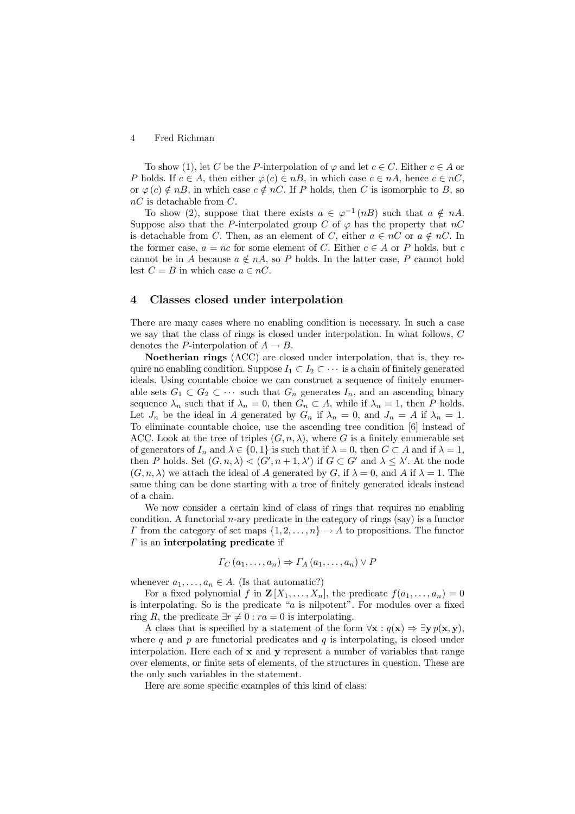#### Fred Richman  $\overline{4}$

To show (1), let C be the P-interpolation of  $\varphi$  and let  $c \in C$ . Either  $c \in A$  or P holds. If  $c \in A$ , then either  $\varphi(c) \in nB$ , in which case  $c \in nA$ , hence  $c \in nC$ . or  $\varphi(c) \notin nB$ , in which case  $c \notin nC$ . If P holds, then C is isomorphic to B, so  $nC$  is detachable from  $C$ .

To show (2), suppose that there exists  $a \in \varphi^{-1}(nB)$  such that  $a \notin nA$ . Suppose also that the P-interpolated group C of  $\varphi$  has the property that nC is detachable from C. Then, as an element of C, either  $a \in nC$  or  $a \notin nC$ . In the former case,  $a = nc$  for some element of C. Either  $c \in A$  or P holds, but c cannot be in A because  $a \notin nA$ , so P holds. In the latter case, P cannot hold lest  $C = B$  in which case  $a \in nC$ .

#### $\boldsymbol{4}$ Classes closed under interpolation

There are many cases where no enabling condition is necessary. In such a case we say that the class of rings is closed under interpolation. In what follows,  $C$ denotes the P-interpolation of  $A \rightarrow B$ .

**Noetherian rings** (ACC) are closed under interpolation, that is, they require no enabling condition. Suppose  $I_1 \subset I_2 \subset \cdots$  is a chain of finitely generated ideals. Using countable choice we can construct a sequence of finitely enumerable sets  $G_1 \subset G_2 \subset \cdots$  such that  $G_n$  generates  $I_n$ , and an ascending binary sequence  $\lambda_n$  such that if  $\lambda_n = 0$ , then  $G_n \subset A$ , while if  $\lambda_n = 1$ , then P holds. Let  $J_n$  be the ideal in A generated by  $G_n$  if  $\lambda_n = 0$ , and  $J_n = A$  if  $\lambda_n = 1$ . To eliminate countable choice, use the ascending tree condition  $[6]$  instead of ACC. Look at the tree of triples  $(G, n, \lambda)$ , where G is a finitely enumerable set of generators of  $I_n$  and  $\lambda \in \{0,1\}$  is such that if  $\lambda = 0$ , then  $G \subset A$  and if  $\lambda = 1$ , then P holds. Set  $(G, n, \lambda) < (G', n+1, \lambda')$  if  $G \subset G'$  and  $\lambda \leq \lambda'$ . At the node  $(G, n, \lambda)$  we attach the ideal of A generated by G, if  $\lambda = 0$ , and A if  $\lambda = 1$ . The same thing can be done starting with a tree of finitely generated ideals instead of a chain.

We now consider a certain kind of class of rings that requires no enabling condition. A functorial *n*-ary predicate in the category of rings (say) is a functor  $\Gamma$  from the category of set maps  $\{1, 2, ..., n\} \to A$  to propositions. The functor  $\Gamma$  is an interpolating predicate if

$$
\Gamma_C(a_1,\ldots,a_n)\Rightarrow \Gamma_A(a_1,\ldots,a_n)\vee P
$$

whenever  $a_1, \ldots, a_n \in A$ . (Is that automatic?)

For a fixed polynomial f in  $\mathbf{Z}[X_1,\ldots,X_n]$ , the predicate  $f(a_1,\ldots,a_n)=0$ is interpolating. So is the predicate " $a$  is nilpotent". For modules over a fixed ring R, the predicate  $\exists r \neq 0 : ra = 0$  is interpolating.

A class that is specified by a statement of the form  $\forall x : q(x) \Rightarrow \exists y \ p(x, y)$ , where q and p are functorial predicates and q is interpolating, is closed under interpolation. Here each of  $x$  and  $y$  represent a number of variables that range over elements, or finite sets of elements, of the structures in question. These are the only such variables in the statement.

Here are some specific examples of this kind of class: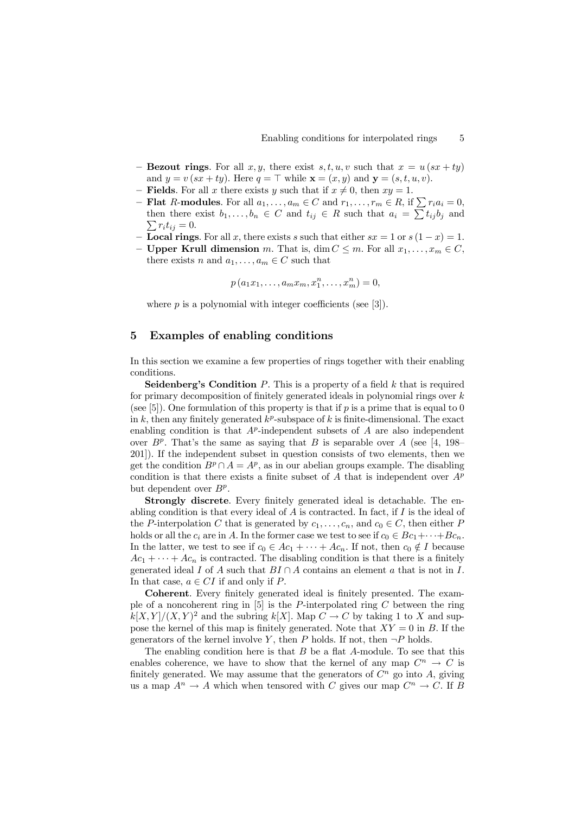- **Bezout rings**. For all x, y, there exist s, t, u, v such that  $x = u(sx + ty)$ and  $y = v(sx + ty)$ . Here  $q = \top$  while  $\mathbf{x} = (x, y)$  and  $\mathbf{y} = (s, t, u, v)$ .
- Fields. For all x there exists y such that if  $x \neq 0$ , then  $xy = 1$ .
- **Flat** R-modules. For all  $a_1, \ldots, a_m \in C$  and  $r_1, \ldots, r_m \in R$ , if  $\sum r_i a_i = 0$ , then there exist  $b_1, \ldots, b_n \in C$  and  $t_{ij} \in R$  such that  $a_i = \sum t_{ij} b_j$  and  $\sum r_i t_{ij} = 0.$
- **Local rings**. For all x, there exists s such that either  $sx = 1$  or  $s(1 x) = 1$ .
- **Upper Krull dimension** m. That is, dim  $C \leq m$ . For all  $x_1, \ldots, x_m \in C$ , there exists *n* and  $a_1, \ldots, a_m \in C$  such that

$$
p(a_1x_1,...,a_mx_m,x_1^n,...,x_m^n)=0,
$$

where  $p$  is a polynomial with integer coefficients (see [3]).

#### 5 Examples of enabling conditions

In this section we examine a few properties of rings together with their enabling conditions.

**Seidenberg's Condition** P. This is a property of a field  $k$  that is required for primary decomposition of finitely generated ideals in polynomial rings over  $k$ (see [5]). One formulation of this property is that if p is a prime that is equal to 0 in k, then any finitely generated  $k^p$ -subspace of k is finite-dimensional. The exact enabling condition is that  $A^p$ -independent subsets of A are also independent over  $B^p$ . That's the same as saying that B is separable over A (see [4, 198-201.) If the independent subset in question consists of two elements, then we get the condition  $B^p \cap A = A^p$ , as in our abelian groups example. The disabling condition is that there exists a finite subset of A that is independent over  $A^p$ but dependent over  $B^p$ .

Strongly discrete. Every finitely generated ideal is detachable. The enabling condition is that every ideal of  $A$  is contracted. In fact, if  $I$  is the ideal of the P-interpolation C that is generated by  $c_1, \ldots, c_n$ , and  $c_0 \in C$ , then either P holds or all the  $c_i$  are in A. In the former case we test to see if  $c_0 \in Bc_1 + \cdots + Bc_n$ . In the latter, we test to see if  $c_0 \in Ac_1 + \cdots + Ac_n$ . If not, then  $c_0 \notin I$  because  $Ac_1 + \cdots + Ac_n$  is contracted. The disabling condition is that there is a finitely generated ideal I of A such that  $BI \cap A$  contains an element a that is not in I. In that case,  $a \in CI$  if and only if P.

**Coherent.** Every finitely generated ideal is finitely presented. The example of a noncoherent ring in [5] is the P-interpolated ring  $C$  between the ring  $k[X, Y]/(X, Y)^2$  and the subring  $k[X]$ . Map  $C \to C$  by taking 1 to X and suppose the kernel of this map is finitely generated. Note that  $XY = 0$  in B. If the generators of the kernel involve Y, then P holds. If not, then  $\neg P$  holds.

The enabling condition here is that  $B$  be a flat  $A$ -module. To see that this enables coherence, we have to show that the kernel of any map  $C^n \to C$  is finitely generated. We may assume that the generators of  $C^n$  go into A, giving us a map  $A^n \to A$  which when tensored with C gives our map  $C^n \to C$ . If B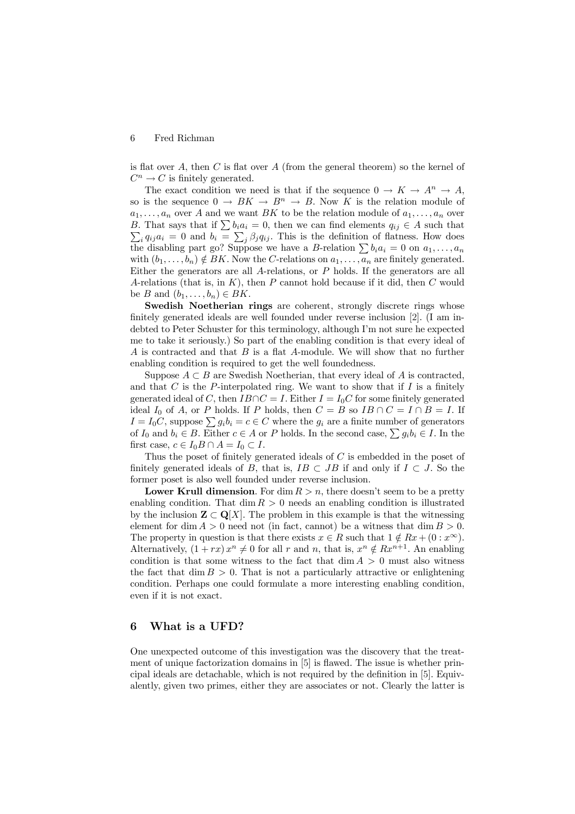#### Fred Richman  $6\phantom{.}6$

is flat over A, then  $C$  is flat over  $A$  (from the general theorem) so the kernel of  $C^n \to C$  is finitely generated.

The exact condition we need is that if the sequence  $0 \to K \to A^n \to A$ , so is the sequence  $0 \to BK \to B^n \to B$ . Now K is the relation module of  $a_1, \ldots, a_n$  over A and we want BK to be the relation module of  $a_1, \ldots, a_n$  over B. That says that if  $\sum b_i a_i = 0$ , then we can find elements  $q_{ij} \in A$  such that  $\sum_i q_{ij} a_i = 0$  and  $b_i = \sum_j \beta_j q_{ij}$ . This is the definition of flatness. How does the disabling part go? Suppose we have a *B*-relation  $\sum b_i a_i = 0$  on  $a_1, \ldots, a_n$ with  $(b_1, \ldots, b_n) \notin BK$ . Now the C-relations on  $a_1, \ldots, a_n$  are finitely generated. Either the generators are all  $A$ -relations, or  $P$  holds. If the generators are all A-relations (that is, in  $K$ ), then P cannot hold because if it did, then C would be B and  $(b_1, \ldots, b_n) \in BK$ .

Swedish Noetherian rings are coherent, strongly discrete rings whose finitely generated ideals are well founded under reverse inclusion [2]. (I am indebted to Peter Schuster for this terminology, although I'm not sure he expected me to take it seriously.) So part of the enabling condition is that every ideal of A is contracted and that  $B$  is a flat A-module. We will show that no further enabling condition is required to get the well foundedness.

Suppose  $A \subset B$  are Swedish Noetherian, that every ideal of A is contracted, and that  $C$  is the P-interpolated ring. We want to show that if  $I$  is a finitely generated ideal of C, then  $IB \cap C = I$ . Either  $I = I_0 C$  for some finitely generated ideal  $I_0$  of A, or P holds. If P holds, then  $C = B$  so  $IB \cap C = I \cap B = I$ . If  $I = I_0 C$ , suppose  $\sum g_i b_i = c \in C$  where the  $g_i$  are a finite number of generators of  $I_0$  and  $b_i \in B$ . Either  $c \in A$  or P holds. In the second case,  $\sum g_i b_i \in I$ . In the first case,  $c \in I_0 B \cap A = I_0 \subset I$ .

Thus the poset of finitely generated ideals of  $C$  is embedded in the poset of finitely generated ideals of B, that is,  $IB \subset JB$  if and only if  $I \subset J$ . So the former poset is also well founded under reverse inclusion.

**Lower Krull dimension.** For dim  $R > n$ , there doesn't seem to be a pretty enabling condition. That  $\dim R > 0$  needs an enabling condition is illustrated by the inclusion  $\mathbf{Z} \subset \mathbf{Q}[X]$ . The problem in this example is that the witnessing element for dim  $A > 0$  need not (in fact, cannot) be a witness that dim  $B > 0$ . The property in question is that there exists  $x \in R$  such that  $1 \notin Rx + (0 : x^{\infty})$ . Alternatively,  $(1+rx)x^n \neq 0$  for all r and n, that is,  $x^n \notin Rx^{n+1}$ . An enabling condition is that some witness to the fact that  $\dim A > 0$  must also witness the fact that  $\dim B > 0$ . That is not a particularly attractive or enlightening condition. Perhaps one could formulate a more interesting enabling condition, even if it is not exact.

#### What is a UFD? 6

One unexpected outcome of this investigation was the discovery that the treatment of unique factorization domains in [5] is flawed. The issue is whether principal ideals are detachable, which is not required by the definition in [5]. Equivalently, given two primes, either they are associates or not. Clearly the latter is